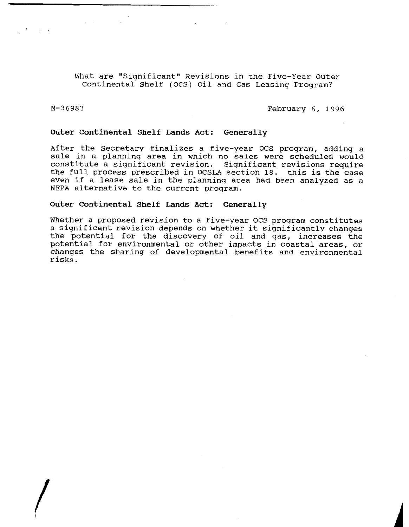hat are "Significant" Revisions in the Five-Year Outer Continental Shelf (OCS) Oil and Gas Leasinq Program?

 $M - 36983$ 

February 6, 1996

## **Outer Continental Shelf Lands Act: Generally**

After the Secretary finalizes a five-year OCS proqram, adding a sale in a planning area in which no sales were scheduled would constitute a significant revision. Significant revisions require the full process prescribed in OCSLA section 18. this is the case even if a lease sale in the planning area had been analyzed as a NEPA alternative to the current proqram.

## **Outer Continental Shelf Lands Act: Generally**

Whether a proposed revision to a five-year OCS program constitutes a significant revision depends on whether it significantly changes the potential for the discovery of oil and gas, increases the potential for environmental or other impacts in coastal areas, or changes the sharing of developmental benefits and environmental risks.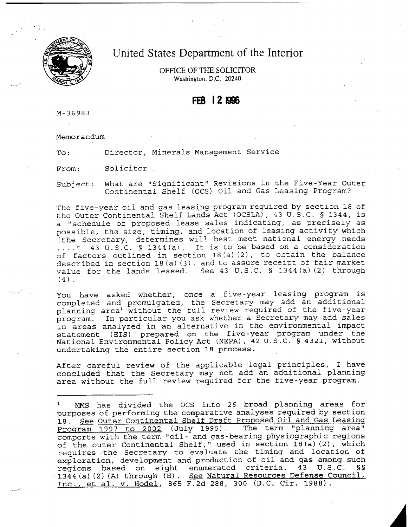

# United States Department of the Interior

OFFICE OF THE SOLICITOR Washington, D.C. 20240

# FEB 12896

M-36983

-

Memorandum

To: Director, Minerals Management Service

From: Solicitor

Subject: What are "Significant" Revisions in the Five-Year Outer Continental Shelf (OCS) Oil and Gas Leasing Program?

The five-year oil and gas leasing program required by section 18 of the Outer Continental Shelf Lands Act **(OCSLA)**, 43 U. S.C. **5** 1344, is a "schedule of proposed lease sales indicating, as precisely as possible, the size, timing, and location of leasing activity which [the Secretary] determines will best meet national energy needs 43 u.S.C. **5** 1344(a). It is to be based on **a** consideration of factors outlined in section 18(a)(2) , to obtain the balance described in section 18 (a)(3), and to assure receipt of fair market value for the lands leased. See 43 U.S .C. § 1344 (a) (2) through  $(4)$ .

You have asked whether, once a five-year leasing program is completed and promulgated, the Secretary may add an additional planning area<sup>l</sup> without the full review required of the five-year program. In particular you ask whether a Secretary may add sales in areas analyzed in an alternative in the environmental impact statement (XIS) prepared **on** the five -year program under the National Environmental Policy Act (NEPA) , <sup>42</sup>U. S .C. § **4321,** without undertaking the entire section **18** process.

After careful review of the applicable legal principles, I have concluded that the Secretary may not add an additional planning area without the full review required for the five-year program.

MMS has divided the OCS into 26 broad planning areas for purposes of performing the comparative analyses required by section 18. See Outer Continental Shelf Draft Proposed Oil and Gas Leasing<br>Program 1997 to 2002 (July 1995). The term "planning area" Program  $\overline{1997}$  to 2002 (July 1995). comports with the term "oil- and gas-bearing physiographic regions of the outer Continental Shelf," used in section **18(a)**(2), which requires .the Secretary to evaluate the timing and location of exploration, development and production of oil and gas among such regions hased on eight enumerated criteria. 43 U.S.C. §§ regions based on eight enumerated criteria. 43 U.S.C. **<sup>1344</sup>** (a)(2) (A) through **(HI**. **See** Natural Resources **Defense Council,**  Inc.. et al. v. Hodel, 865 **F.2d** 288, 300 **(D.C.** Cir. **1988).** -.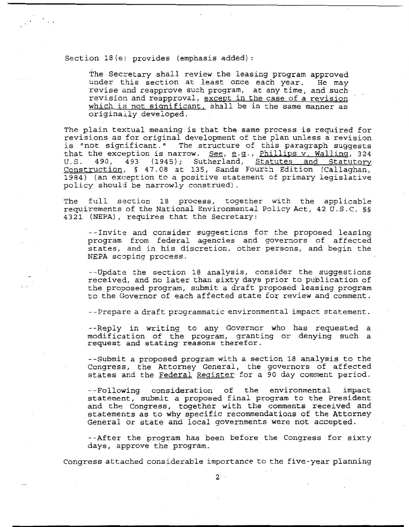Section 18(e) provides (emphasis added) :

The Secretary shall review the leasing program approved under this section at least once each year. He may revise and reapprove such program, at any time, and such revision and reapproval, except in the case of a revision which is not significant, shall be in the same manner as originaily developed.

The plain textual meaning is that the same process is required for revisions as for original development of the plan unless a revision is "not sigrificant." The structure of this paragraph suggests revisions as for original development of the plan unless a revision<br>is "not significant." The structure of this paragraph suggests<br>that the exception is narrow. <u>See</u>, e.g., <u>Phillips v. Walling</u>, 324<br>J.S. 490, 493 (1945); U.S. 490, 493 (1945); Sutherland, Statutes and Statutory<br>Construction, § 47.08 at 135, Sands Fourth Edition (Callaghan, 1984) (an exception to a positive statement of primary legislative policy shoul3 be narrowly construed).

The full section 18 process, together witk the applicable requirements of the National Environmental Policy Act, 42 **U.S.C.** §§ <sup>4321</sup>(NEPA) , requires that the Secretary:

--Invite and consider suggestions for the proposed leasing program from federal agencies and governors of affected states, and in his discretion, other persons, and begin the NEPA scoping process.

--Update the section **18** analysis, consider the suggestions received, and no later than sixty days prior to publication of the proposed program, submit a draft proposed leasing program to the Governor of each affected state for review and comment.

--Prepare a draft programmatic environmental impact statement.

--Reply in writing to any Governor who has requested a modification of the program, granting or denying such a request and stating reasons therefor.

--Submit a proposed program with a section 18 analysis to the Congress, the Attorney General, the governors of affected states and the Federal Register for a 90 day comment period.

--Following consideration of the environmental impact statement, submit a proposed final program to the President and the Congress, together with the comments received and statements as to why specific recommendations of the Attorney General or state and local governments were not accepted.

--After the program has been before the Congress for sixty days, approve the' program.

Congress attached considerable importance to the five-year planning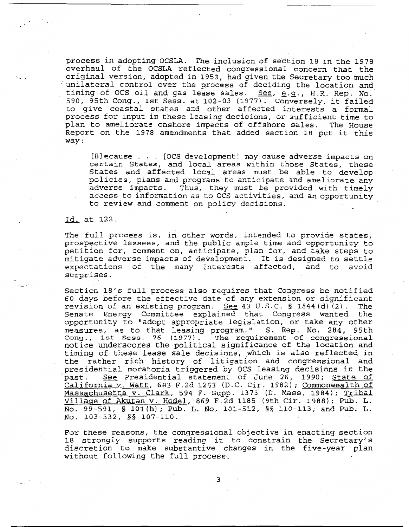process in adopting OCSLA. The inclusion of section 18 in the 1978 overhaul of the OCSLA reflected congressional concern that the original version, adopted in 1953, had given the Secretary too much unilateral control over the process of deciding the location and timing of OCS oil and gas lease sales. **See, g.q.,** H.R. Rep. No:' 590, 95th Cong., 1st Sess. at 102-03 (1977). Conversely, it failed to give coastal states and other affected interests a formal process for input in these leasing decisions, or sufficient time to plan to ameliorate onshore impacts of offshore sales. The House Report on the 1978 amendments that added section 18 put it this way :

[Blecause . . . [OCS development] may cause adverse impacts on certain States, and local areas within those States, these States and affected local areas must be able to develop policies, plans and programs to anticipate 3nd ameliorate any adverse impacts. Thus, they must be provided with timely access to information as to OCS activities, and an opportunity to review and comment on policy decisions.

#### Id. at 122.

The full process is, in other words, intended to provide states, prospective lessees, and the public ample time and opportunity to petition for, comment on, anticipate, plan for, and take steps to mitigate adverse impacts of development. It is designed to settle expectations of the many interests affected, and to avoid surprises.

Section 18's full process also requires that Congress be notified 60 days before the effective date of any extension or significant revision of an existing program. See 43 U.S.C.  $\S$  1844 $(d)$  (2). The Senate Energy Committee explained that Congress wanted the opportunity to "adopt appropriate legislation, or take any other measures, as to that leasing program." S. Rep. No. 284, 95th Cong., 1st Sess. 76 **(1977).** The requirement **of congressional**  notice **underscores the** political significance of the location and timing of these lease sale decisions, which is also reflected in the rather rich history of litigation and congressional and presidential moratoria triggered by OCS leasing decisions in the Cong., 1st Sess. 76 (1977). The requirement of congressional<br>notice underscores the political significance of the location and<br>timing of these lease sale decisions, which is also reflected in<br>the rather rich history of li past. See Presidential statement of June 26, 1990; State of California v. Watt, 683 F.2d 1253 (D.C. Cir. 1982); Commonwealth of Massachusetts v. Clark, 594 F. Supp. 1373 (D. Mass. 1984); Tribal Village of Akutan v. Hodel, 869 F.2d 1185 (9th Cir. 1988); Pub. L. No. 99-591, § 101(h); Pub. L. No. 101-512, §§ 110-113; and Pub. L. NO. 103-332, **55** 107-110.

For these reasons, the congressional objective in enacting section 18 strongly supports reading it to constrain the Secretary's discretion to make substantive changes in the five-year plan without following the full process.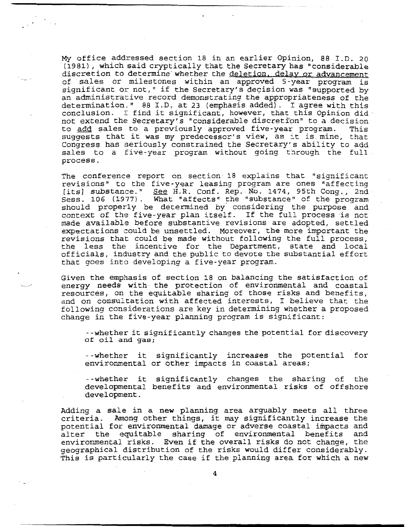My office addressed section 18 in an earlier Opinion, 88 I.D. **20 (1981)**, which said cryptically that the Secretary has "considerable discretion to determine' whether the deletion. delav or advancement of sales or milestones within an approved 5-year program is significant or not," if the Secretary's decision was "supported **by**  an administrative record demonstrating the appropriateness of the determination." 88 I.D. at 23 (emphasis added) . I agree with this conclusion. I find it significant, however, that this Opinion did. not extend the Secretary's "considerable discretion" to a decision to **add** sales to a previously approved five-year program. This suggests that it was my predecessor's view, as :t is mine, that Congress has seriously constrained the Secretary's ability to add sales to a five-year program without going through the full process.

The conference report on section 18 explains that "significant revisions" to the five-year leasing program are ones "affecting<br>[its] substance." See H.R. Conf. Rep. No. 1474, 95th Cong., 2nd sales to a five-year program without going through the full<br>process.<br>The conference report on section 18 explains that "significant<br>revisions" to the five-year leasing program are ones "affecting<br>[its] substance." <u>See</u> H. should properly be determined by' considering the purpose and context of the five-year plan itself. If the full process is not made available before substantive revisions are adopted, settled expectations zould be unsettled. Moreover, the more important the revisions that could be made without following the full process, the less the incentive for the Department, state and local officials, industry and the public to devote the substantial effort that goes into developing a five-year program.

Given the emphasis of section 18 on balancing the satisfaction of energy needs with the protection of environmental and coastal resources, on the equitable sharing of those risks and benefits, and on consultation with affected interests, I believe that the following considerations are key in determining whether a proposed change in the five-year planning program is significant:

--whether it significantly changes the potential for discovery of oil and **gas;** 

--whether it significantly increases the potential for environmental or other impacts in coastal areas;

--whether it significantly changes the sharing of the developmental benefits and environmental risks of offshore development.

Adding a sale in a new planning area arguably meets all three criteria. Among other things, it may significantly increase the potential for environmental damage ar adverse coastal impacts and alter the equitable sharing of environmental benefits and environmental risks. Even if the overall risks do not change, the geographical distribution of the risks would differ considerably. This is particularly the case if the planning area for which a new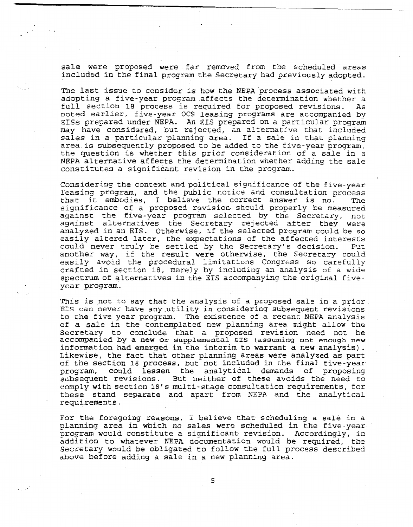sale were proposed were far removed from the scheduled areas included in the final program the Secretary had previously adopted.

The last issue to consider is how the NEPA process associated with adopting a five-year program affects the determiaation whether a full section 18 process is required for proposed revisions. As noted earlier, five-year OCS leasing programs are accompanied by 5ISs prepared under NEPA. An EIS prepared on a particular program may have considered, but rejected, an alternative that included sales in a particular planning area. If a sale in that planning area is subsequently proposed to be added to the five-year program, the question is whether this prior consideratior of a sale in a NEPA alternative affects the determination whether adding the sale constitutes a significant revision in the program.

Considering the context and political significance of the five-year Ieasing program, and the public notice and consultation process that it embodies, I believe the correct answer is no. The significance of a proposed revision should properly be measured. against the five-year program selected by the Secretary, noz against alternatives the Secretary rejected after they were analyzed in an EIS. Otherwise, if the selected program could be so easily altered later, the expectations of the affected interests could never truly be settled by the Secretary's decision. Put another way, if the result were otherwise, the Secretary could easily avoid the procedural limitations Congress so carefully crafted in section 18, merely by including an analysis of a wide spectrum of alternatives in the EIS accompanying the original fiveyear program.

This is not to say that the analysis of a proposed sale in a prior EIS can never have any.utility in considering subsequent revis'ons to the five year program. The existence of a recent NEPA analysis of a sale in the contemplated new planning area might allow the Secretary to conclude that a proposed revision need not be accompanied by a new or supplemental EIS (assuming not enough new information had emerged in the interim to warrant a new analysis). Likewise, the fact that other planning areas were analyzed as part of the section 18 process, but not included in the final five-year program, could lessen the analytical demands of proposing subsequent revisions. But neither of these avoids the need to comply with section 18's multi-stage consultation requirements, for these stand separate and apart from NEPA and the analytical requirements.

For the foregoing reasons, I believe that scheduling a sale in a planning area in which no sales were scheduled in the five-year program would constitute a significant revision. Accordingly, in addition to whatever NEPA documentation would be required, the Secretary would be obligated to follow the full process described **above** before adding a sale in a new planning area.

5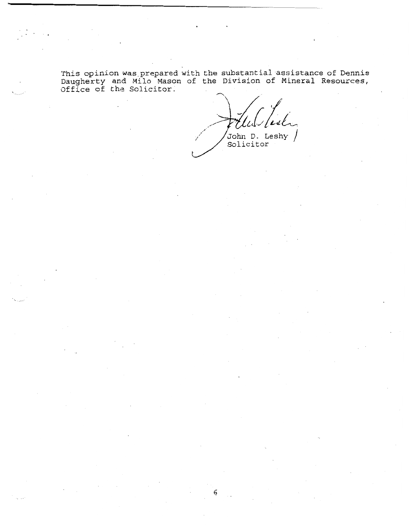**This opinion was.prepared with the substantial assistance of Dennis Daugnerty and Milo Mason of the Division of Mineral Resources, Office of** the? **Solicitor.** 

**John D. Leshy** / **Solicitor**